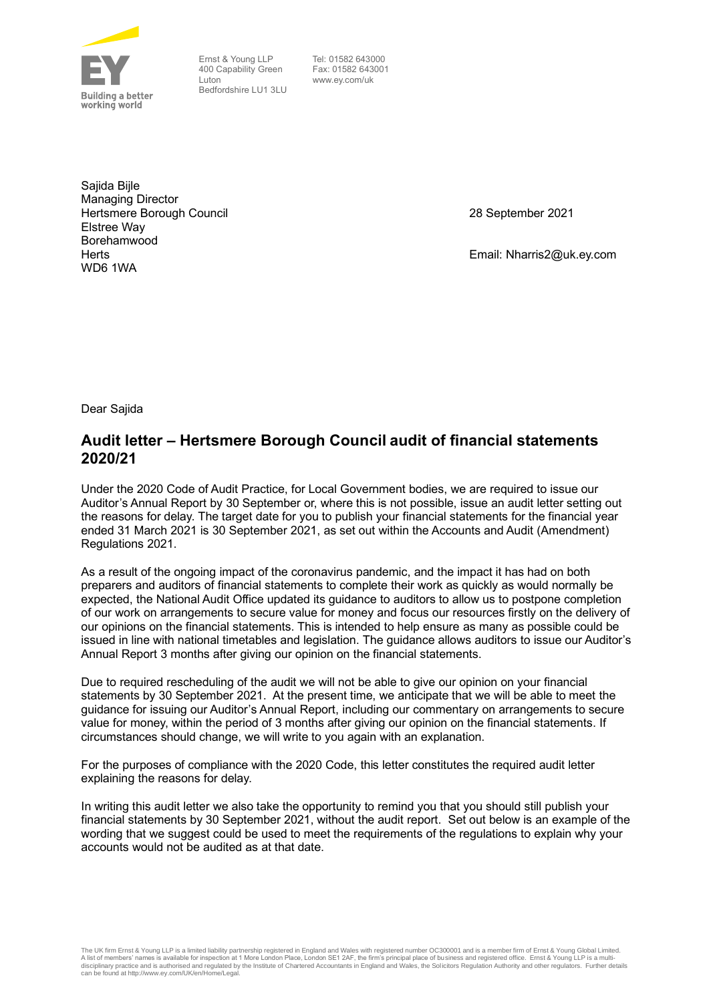

Ernst & Young LLP 400 Capability Green Luton Bedfordshire LU1 3LU

 Tel: 01582 643000 Fax: 01582 643001 www.ey.com/uk

Sajida Bijle Managing Director Hertsmere Borough Council Elstree Way Borehamwood **Herts** WD6 1WA

28 September 2021

Email: Nharris2@uk.ey.com

Dear Sajida

## **Audit letter – Hertsmere Borough Council audit of financial statements 2020/21**

Under the 2020 Code of Audit Practice, for Local Government bodies, we are required to issue our Auditor's Annual Report by 30 September or, where this is not possible, issue an audit letter setting out the reasons for delay. The target date for you to publish your financial statements for the financial year ended 31 March 2021 is 30 September 2021, as set out within the Accounts and Audit (Amendment) Regulations 2021.

As a result of the ongoing impact of the coronavirus pandemic, and the impact it has had on both preparers and auditors of financial statements to complete their work as quickly as would normally be expected, the National Audit Office updated its guidance to auditors to allow us to postpone completion of our work on arrangements to secure value for money and focus our resources firstly on the delivery of our opinions on the financial statements. This is intended to help ensure as many as possible could be issued in line with national timetables and legislation. The guidance allows auditors to issue our Auditor's Annual Report 3 months after giving our opinion on the financial statements.

Due to required rescheduling of the audit we will not be able to give our opinion on your financial statements by 30 September 2021. At the present time, we anticipate that we will be able to meet the guidance for issuing our Auditor's Annual Report, including our commentary on arrangements to secure value for money, within the period of 3 months after giving our opinion on the financial statements. If circumstances should change, we will write to you again with an explanation.

For the purposes of compliance with the 2020 Code, this letter constitutes the required audit letter explaining the reasons for delay.

In writing this audit letter we also take the opportunity to remind you that you should still publish your financial statements by 30 September 2021, without the audit report. Set out below is an example of the wording that we suggest could be used to meet the requirements of the regulations to explain why your accounts would not be audited as at that date.

The UK firm Ernst & Young LLP is a limited liability partnership registered in England and Wales with registered number OC300001 and is a member firm of Ernst & Young Global Limited.<br>A list of members' names is available f can be found at http://www.ey.com/UK/en/Home/Legal.